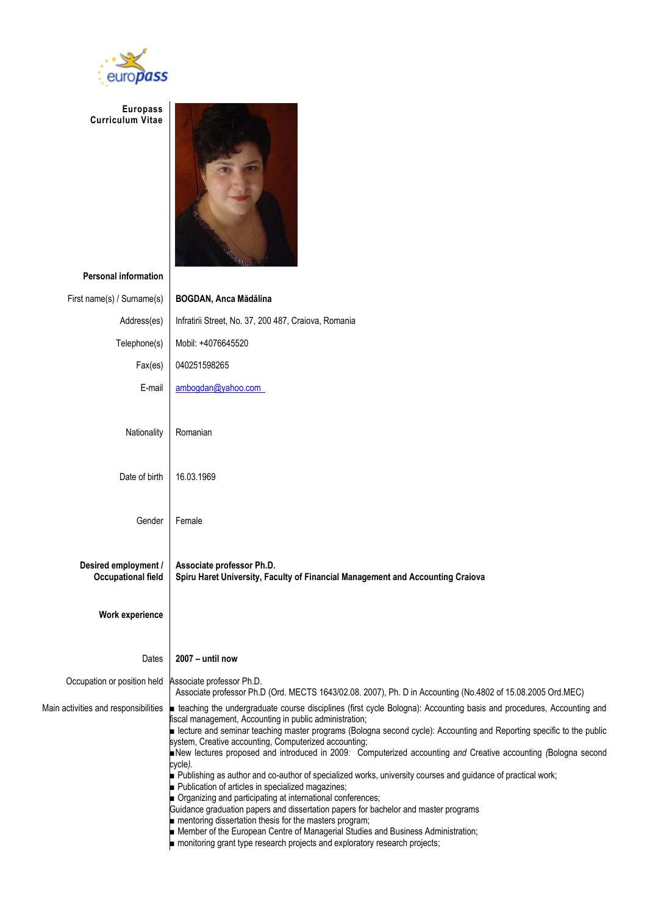

**Europass Curriculum Vitae**



**Personal information**

| First name(s) / Surname(s)                        | <b>BOGDAN, Anca Mădălina</b>                                                                                                                                                                                                                                                                                                                                                                                                                                                                                                                                                                                                                                                                                                                                                                                                                                                                                                                                       |  |  |  |  |  |  |  |  |
|---------------------------------------------------|--------------------------------------------------------------------------------------------------------------------------------------------------------------------------------------------------------------------------------------------------------------------------------------------------------------------------------------------------------------------------------------------------------------------------------------------------------------------------------------------------------------------------------------------------------------------------------------------------------------------------------------------------------------------------------------------------------------------------------------------------------------------------------------------------------------------------------------------------------------------------------------------------------------------------------------------------------------------|--|--|--|--|--|--|--|--|
| Address(es)                                       | Infratirii Street, No. 37, 200 487, Craiova, Romania                                                                                                                                                                                                                                                                                                                                                                                                                                                                                                                                                                                                                                                                                                                                                                                                                                                                                                               |  |  |  |  |  |  |  |  |
| Telephone(s)                                      | Mobil: +4076645520                                                                                                                                                                                                                                                                                                                                                                                                                                                                                                                                                                                                                                                                                                                                                                                                                                                                                                                                                 |  |  |  |  |  |  |  |  |
| Fax(es)                                           | 040251598265                                                                                                                                                                                                                                                                                                                                                                                                                                                                                                                                                                                                                                                                                                                                                                                                                                                                                                                                                       |  |  |  |  |  |  |  |  |
| E-mail                                            | ambogdan@yahoo.com                                                                                                                                                                                                                                                                                                                                                                                                                                                                                                                                                                                                                                                                                                                                                                                                                                                                                                                                                 |  |  |  |  |  |  |  |  |
| Nationality                                       | Romanian                                                                                                                                                                                                                                                                                                                                                                                                                                                                                                                                                                                                                                                                                                                                                                                                                                                                                                                                                           |  |  |  |  |  |  |  |  |
| Date of birth                                     | 16.03.1969                                                                                                                                                                                                                                                                                                                                                                                                                                                                                                                                                                                                                                                                                                                                                                                                                                                                                                                                                         |  |  |  |  |  |  |  |  |
| Gender                                            | Female                                                                                                                                                                                                                                                                                                                                                                                                                                                                                                                                                                                                                                                                                                                                                                                                                                                                                                                                                             |  |  |  |  |  |  |  |  |
| Desired employment /<br><b>Occupational field</b> | Associate professor Ph.D.<br>Spiru Haret University, Faculty of Financial Management and Accounting Craiova                                                                                                                                                                                                                                                                                                                                                                                                                                                                                                                                                                                                                                                                                                                                                                                                                                                        |  |  |  |  |  |  |  |  |
| <b>Work experience</b>                            |                                                                                                                                                                                                                                                                                                                                                                                                                                                                                                                                                                                                                                                                                                                                                                                                                                                                                                                                                                    |  |  |  |  |  |  |  |  |
| Dates                                             | 2007 - until now                                                                                                                                                                                                                                                                                                                                                                                                                                                                                                                                                                                                                                                                                                                                                                                                                                                                                                                                                   |  |  |  |  |  |  |  |  |
| Occupation or position held                       | Associate professor Ph.D.<br>Associate professor Ph.D (Ord. MECTS 1643/02.08. 2007), Ph. D in Accounting (No.4802 of 15.08.2005 Ord.MEC)                                                                                                                                                                                                                                                                                                                                                                                                                                                                                                                                                                                                                                                                                                                                                                                                                           |  |  |  |  |  |  |  |  |
| Main activities and responsibilities              | teaching the undergraduate course disciplines (first cycle Bologna): Accounting basis and procedures, Accounting and<br>fiscal management, Accounting in public administration;<br>ecture and seminar teaching master programs (Bologna second cycle): Accounting and Reporting specific to the public<br>system, Creative accounting, Computerized accounting;<br>New lectures proposed and introduced in 2009: Computerized accounting and Creative accounting (Bologna second<br>cvcle).<br>Publishing as author and co-author of specialized works, university courses and guidance of practical work;<br>Publication of articles in specialized magazines;<br>Organizing and participating at international conferences;<br>Guidance graduation papers and dissertation papers for bachelor and master programs<br>mentoring dissertation thesis for the masters program;<br>Member of the European Centre of Managerial Studies and Business Administration; |  |  |  |  |  |  |  |  |

■ monitoring grant type research projects and exploratory research projects;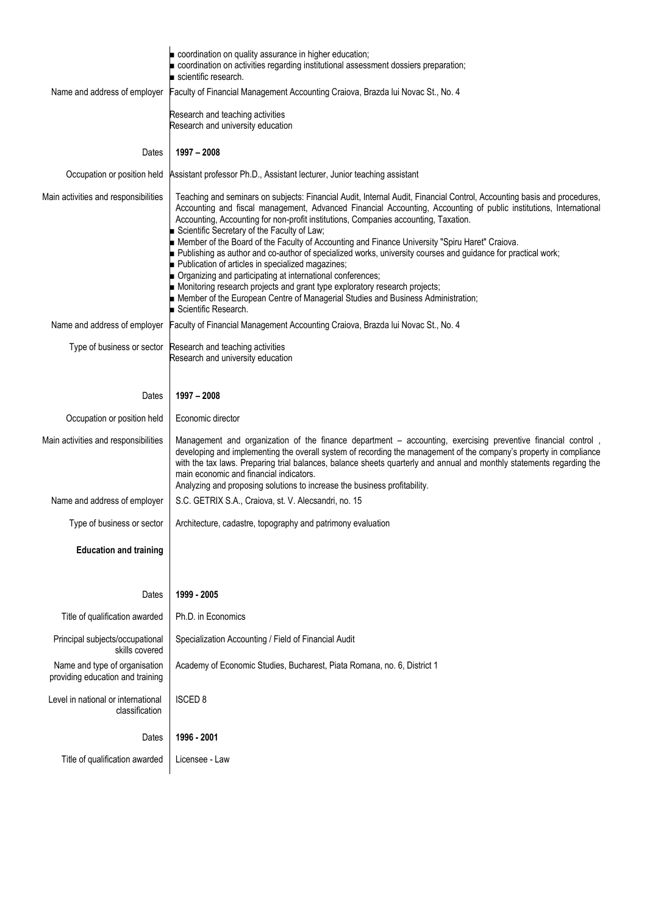|                                                                   | coordination on quality assurance in higher education;<br>coordination on activities regarding institutional assessment dossiers preparation;<br>scientific research.                                                                                                                                                                                                                                                                                                                                                                                                                                                                                                                                                                                                                                                                                                                                             |  |  |  |  |  |  |  |  |
|-------------------------------------------------------------------|-------------------------------------------------------------------------------------------------------------------------------------------------------------------------------------------------------------------------------------------------------------------------------------------------------------------------------------------------------------------------------------------------------------------------------------------------------------------------------------------------------------------------------------------------------------------------------------------------------------------------------------------------------------------------------------------------------------------------------------------------------------------------------------------------------------------------------------------------------------------------------------------------------------------|--|--|--|--|--|--|--|--|
| Name and address of employer                                      | Faculty of Financial Management Accounting Craiova, Brazda lui Novac St., No. 4                                                                                                                                                                                                                                                                                                                                                                                                                                                                                                                                                                                                                                                                                                                                                                                                                                   |  |  |  |  |  |  |  |  |
|                                                                   | Research and teaching activities<br>Research and university education                                                                                                                                                                                                                                                                                                                                                                                                                                                                                                                                                                                                                                                                                                                                                                                                                                             |  |  |  |  |  |  |  |  |
| Dates                                                             | $1997 - 2008$                                                                                                                                                                                                                                                                                                                                                                                                                                                                                                                                                                                                                                                                                                                                                                                                                                                                                                     |  |  |  |  |  |  |  |  |
|                                                                   | Occupation or position held Assistant professor Ph.D., Assistant lecturer, Junior teaching assistant                                                                                                                                                                                                                                                                                                                                                                                                                                                                                                                                                                                                                                                                                                                                                                                                              |  |  |  |  |  |  |  |  |
| Main activities and responsibilities                              | Teaching and seminars on subjects: Financial Audit, Internal Audit, Financial Control, Accounting basis and procedures,<br>Accounting and fiscal management, Advanced Financial Accounting, Accounting of public institutions, International<br>Accounting, Accounting for non-profit institutions, Companies accounting, Taxation.<br>Scientific Secretary of the Faculty of Law;<br>Member of the Board of the Faculty of Accounting and Finance University "Spiru Haret" Craiova.<br>publishing as author and co-author of specialized works, university courses and guidance for practical work;<br>Publication of articles in specialized magazines;<br>Organizing and participating at international conferences;<br>Monitoring research projects and grant type exploratory research projects;<br>Member of the European Centre of Managerial Studies and Business Administration;<br>Scientific Research. |  |  |  |  |  |  |  |  |
|                                                                   | Name and address of employer Faculty of Financial Management Accounting Craiova, Brazda lui Novac St., No. 4                                                                                                                                                                                                                                                                                                                                                                                                                                                                                                                                                                                                                                                                                                                                                                                                      |  |  |  |  |  |  |  |  |
|                                                                   | Type of business or sector Research and teaching activities<br>Research and university education                                                                                                                                                                                                                                                                                                                                                                                                                                                                                                                                                                                                                                                                                                                                                                                                                  |  |  |  |  |  |  |  |  |
| Dates                                                             | 1997 - 2008                                                                                                                                                                                                                                                                                                                                                                                                                                                                                                                                                                                                                                                                                                                                                                                                                                                                                                       |  |  |  |  |  |  |  |  |
| Occupation or position held                                       | Economic director                                                                                                                                                                                                                                                                                                                                                                                                                                                                                                                                                                                                                                                                                                                                                                                                                                                                                                 |  |  |  |  |  |  |  |  |
| Main activities and responsibilities                              | Management and organization of the finance department - accounting, exercising preventive financial control,<br>developing and implementing the overall system of recording the management of the company's property in compliance<br>with the tax laws. Preparing trial balances, balance sheets quarterly and annual and monthly statements regarding the<br>main economic and financial indicators.<br>Analyzing and proposing solutions to increase the business profitability.                                                                                                                                                                                                                                                                                                                                                                                                                               |  |  |  |  |  |  |  |  |
| Name and address of employer                                      | S.C. GETRIX S.A., Craiova, st. V. Alecsandri, no. 15                                                                                                                                                                                                                                                                                                                                                                                                                                                                                                                                                                                                                                                                                                                                                                                                                                                              |  |  |  |  |  |  |  |  |
| Type of business or sector                                        | Architecture, cadastre, topography and patrimony evaluation                                                                                                                                                                                                                                                                                                                                                                                                                                                                                                                                                                                                                                                                                                                                                                                                                                                       |  |  |  |  |  |  |  |  |
| <b>Education and training</b>                                     |                                                                                                                                                                                                                                                                                                                                                                                                                                                                                                                                                                                                                                                                                                                                                                                                                                                                                                                   |  |  |  |  |  |  |  |  |
| Dates                                                             | 1999 - 2005                                                                                                                                                                                                                                                                                                                                                                                                                                                                                                                                                                                                                                                                                                                                                                                                                                                                                                       |  |  |  |  |  |  |  |  |
| Title of qualification awarded                                    | Ph.D. in Economics                                                                                                                                                                                                                                                                                                                                                                                                                                                                                                                                                                                                                                                                                                                                                                                                                                                                                                |  |  |  |  |  |  |  |  |
| Principal subjects/occupational<br>skills covered                 | Specialization Accounting / Field of Financial Audit                                                                                                                                                                                                                                                                                                                                                                                                                                                                                                                                                                                                                                                                                                                                                                                                                                                              |  |  |  |  |  |  |  |  |
| Name and type of organisation<br>providing education and training | Academy of Economic Studies, Bucharest, Piata Romana, no. 6, District 1                                                                                                                                                                                                                                                                                                                                                                                                                                                                                                                                                                                                                                                                                                                                                                                                                                           |  |  |  |  |  |  |  |  |
| Level in national or international<br>classification              | <b>ISCED 8</b>                                                                                                                                                                                                                                                                                                                                                                                                                                                                                                                                                                                                                                                                                                                                                                                                                                                                                                    |  |  |  |  |  |  |  |  |
| Dates                                                             | 1996 - 2001                                                                                                                                                                                                                                                                                                                                                                                                                                                                                                                                                                                                                                                                                                                                                                                                                                                                                                       |  |  |  |  |  |  |  |  |
| Title of qualification awarded                                    | Licensee - Law                                                                                                                                                                                                                                                                                                                                                                                                                                                                                                                                                                                                                                                                                                                                                                                                                                                                                                    |  |  |  |  |  |  |  |  |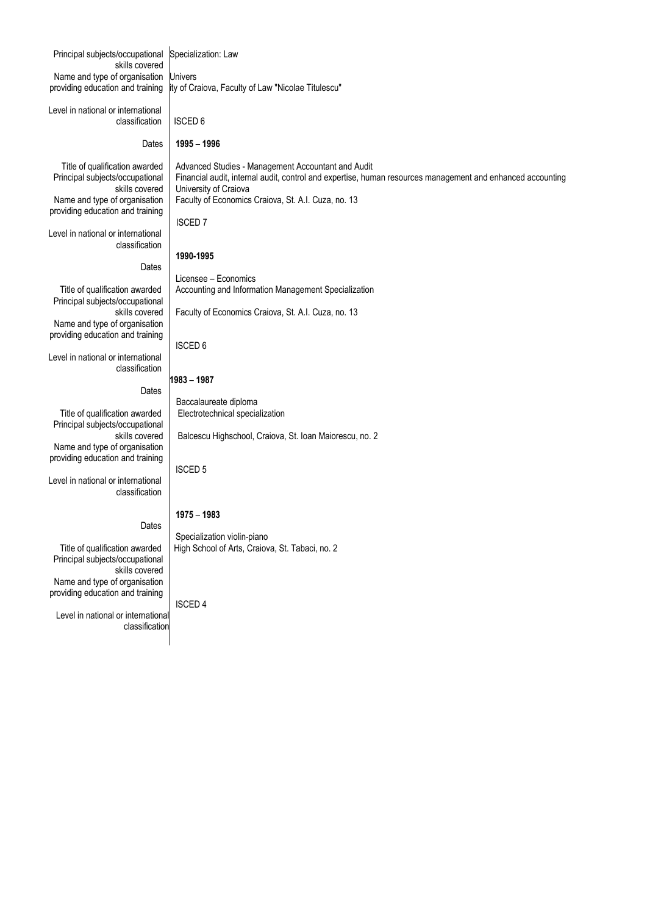| Principal subjects/occupational<br>skills covered                 | Specialization: Law                                                                                                                 |
|-------------------------------------------------------------------|-------------------------------------------------------------------------------------------------------------------------------------|
| Name and type of organisation                                     | <b>Univers</b>                                                                                                                      |
| providing education and training                                  | ity of Craiova, Faculty of Law "Nicolae Titulescu"                                                                                  |
|                                                                   |                                                                                                                                     |
| Level in national or international                                |                                                                                                                                     |
| classification                                                    | <b>ISCED 6</b>                                                                                                                      |
|                                                                   |                                                                                                                                     |
| Dates                                                             | 1995 - 1996                                                                                                                         |
|                                                                   |                                                                                                                                     |
| Title of qualification awarded                                    | Advanced Studies - Management Accountant and Audit                                                                                  |
| Principal subjects/occupational<br>skills covered                 | Financial audit, internal audit, control and expertise, human resources management and enhanced accounting<br>University of Craiova |
| Name and type of organisation                                     | Faculty of Economics Craiova, St. A.I. Cuza, no. 13                                                                                 |
| providing education and training                                  |                                                                                                                                     |
|                                                                   | <b>ISCED7</b>                                                                                                                       |
| Level in national or international                                |                                                                                                                                     |
| classification                                                    |                                                                                                                                     |
|                                                                   | 1990-1995                                                                                                                           |
| Dates                                                             |                                                                                                                                     |
|                                                                   | Licensee - Economics                                                                                                                |
| Title of qualification awarded                                    | Accounting and Information Management Specialization                                                                                |
| Principal subjects/occupational                                   |                                                                                                                                     |
| skills covered<br>Name and type of organisation                   | Faculty of Economics Craiova, St. A.I. Cuza, no. 13                                                                                 |
| providing education and training                                  |                                                                                                                                     |
|                                                                   | <b>ISCED 6</b>                                                                                                                      |
| Level in national or international                                |                                                                                                                                     |
| classification                                                    |                                                                                                                                     |
|                                                                   | 1983 - 1987                                                                                                                         |
| Dates                                                             |                                                                                                                                     |
|                                                                   | Baccalaureate diploma                                                                                                               |
| Title of qualification awarded                                    | Electrotechnical specialization                                                                                                     |
| Principal subjects/occupational                                   |                                                                                                                                     |
| skills covered<br>Name and type of organisation                   | Balcescu Highschool, Craiova, St. Ioan Maiorescu, no. 2                                                                             |
| providing education and training                                  |                                                                                                                                     |
|                                                                   | <b>ISCED 5</b>                                                                                                                      |
| Level in national or international                                |                                                                                                                                     |
| classification                                                    |                                                                                                                                     |
|                                                                   |                                                                                                                                     |
|                                                                   | 1975 - 1983                                                                                                                         |
| Dates                                                             |                                                                                                                                     |
|                                                                   | Specialization violin-piano                                                                                                         |
| Title of qualification awarded<br>Principal subjects/occupational | High School of Arts, Craiova, St. Tabaci, no. 2                                                                                     |
| skills covered                                                    |                                                                                                                                     |
| Name and type of organisation                                     |                                                                                                                                     |
| providing education and training                                  |                                                                                                                                     |
|                                                                   | <b>ISCED4</b>                                                                                                                       |
| Level in national or international                                |                                                                                                                                     |
| classification                                                    |                                                                                                                                     |
|                                                                   |                                                                                                                                     |
|                                                                   |                                                                                                                                     |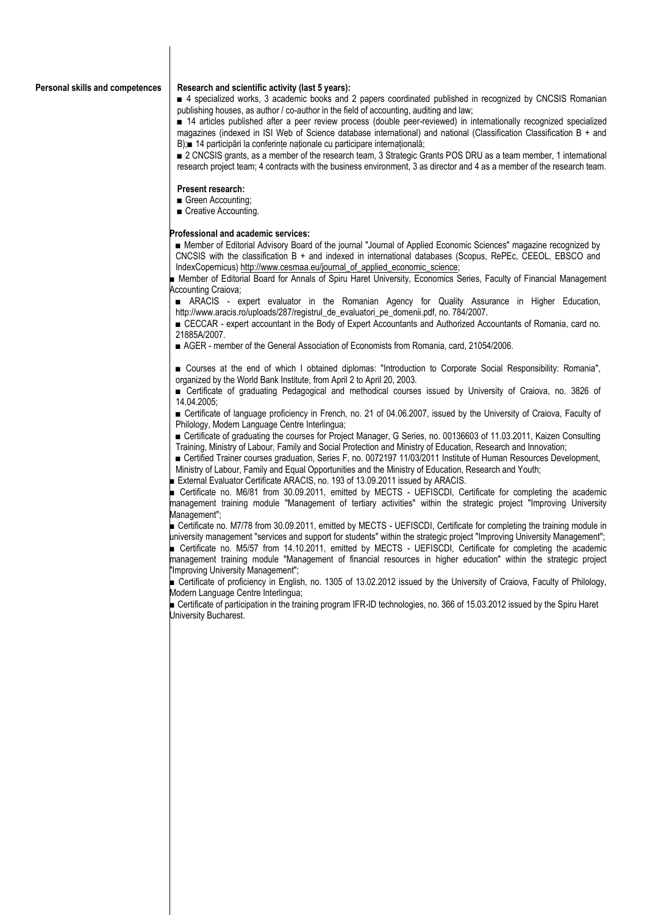## **Personal skills and competences | Research and scientific activity (last 5 years):**

■ 4 specialized works, 3 academic books and 2 papers coordinated published in recognized by CNCSIS Romanian publishing houses, as author / co-author in the field of accounting, auditing and law;

■ 14 articles published after a peer review process (double peer-reviewed) in internationally recognized specialized magazines (indexed in ISI Web of Science database international) and national (Classification Classification B + and B);■ 14 participări la conferințe naționale cu participare internațională;

■ 2 CNCSIS grants, as a member of the research team, 3 Strategic Grants POS DRU as a team member, 1 international research project team; 4 contracts with the business environment, 3 as director and 4 as a member of the research team.

## **Present research:**

- Green Accounting;
- Creative Accounting.

## **Professional and academic services:**

■ Member of Editorial Advisory Board of the journal "Journal of Applied Economic Sciences" magazine recognized by CNCSIS with the classification B + and indexed in international databases (Scopus, RePEc, CEEOL, EBSCO and IndexCopernicus) [http://www.cesmaa.eu/journal\\_of\\_applied\\_economic\\_science;](http://www.cesmaa.eu/journal_of_applied_economic_science)

■ Member of Editorial Board for Annals of Spiru Haret University, Economics Series, Faculty of Financial Management Accounting Craiova;

■ ARACIS - expert evaluator in the Romanian Agency for Quality Assurance in Higher Education, http://www.aracis.ro/uploads/287/registrul\_de\_evaluatori\_pe\_domenii.pdf, no. 784/2007.

■ CECCAR - expert accountant in the Body of Expert Accountants and Authorized Accountants of Romania, card no. 21885A/2007.

■ AGER - member of the General Association of Economists from Romania, card, 21054/2006.

**■** Courses at the end of which I obtained diplomas: "Introduction to Corporate Social Responsibility: Romania", organized by the World Bank Institute, from April 2 to April 20, 2003.

■ Certificate of graduating Pedagogical and methodical courses issued by University of Craiova, no. 3826 of 14.04.2005;

■ Certificate of language proficiency in French, no. 21 of 04.06.2007, issued by the University of Craiova, Faculty of Philology, Modern Language Centre Interlingua;

■ Certificate of graduating the courses for Project Manager, G Series, no. 00136603 of 11.03.2011, Kaizen Consulting Training, Ministry of Labour, Family and Social Protection and Ministry of Education, Research and Innovation;

■ Certified Trainer courses graduation, Series F, no. 0072197 11/03/2011 Institute of Human Resources Development,

Ministry of Labour, Family and Equal Opportunities and the Ministry of Education, Research and Youth;

■ External Evaluator Certificate ARACIS, no. 193 of 13.09.2011 issued by ARACIS.

■ Certificate no. M6/81 from 30.09.2011, emitted by MECTS - UEFISCDI, Certificate for completing the academic management training module "Management of tertiary activities" within the strategic project "Improving University Management";

■ Certificate no. M7/78 from 30.09.2011, emitted by MECTS - UEFISCDI, Certificate for completing the training module in university management "services and support for students" within the strategic project "Improving University Management";

■ Certificate no. M5/57 from 14.10.2011, emitted by MECTS - UEFISCDI, Certificate for completing the academic management training module "Management of financial resources in higher education" within the strategic project "Improving University Management";

■ Certificate of proficiency in English, no. 1305 of 13.02.2012 issued by the University of Craiova, Faculty of Philology, Modern Language Centre Interlingua;

■ Certificate of participation in the training program IFR-ID technologies, no. 366 of 15.03.2012 issued by the Spiru Haret University Bucharest.